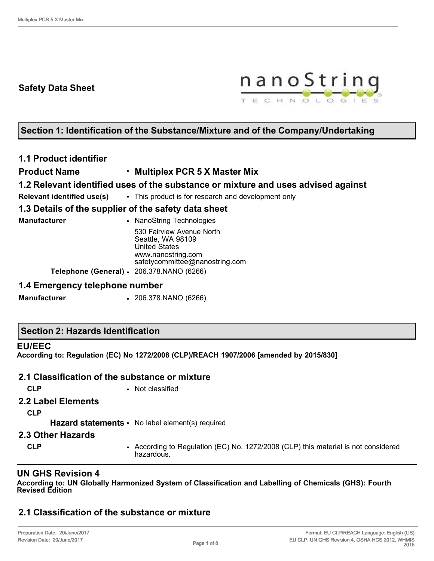# **Safety Data Sheet**



# **Section 1: Identification of the Substance/Mixture and of the Company/Undertaking**

# **1.1 Product identifier**

### **Product Name** • **Multiplex PCR 5 X Master Mix**

# **1.2 Relevant identified uses of the substance or mixture and uses advised against**

**Relevant identified use(s)** • This product is for research and development only

# **1.3 Details of the supplier of the safety data sheet**

| • NanoString Technologies                                                                                                      |
|--------------------------------------------------------------------------------------------------------------------------------|
| 530 Fairview Avenue North<br>Seattle, WA 98109<br><b>United States</b><br>www.nanostring.com<br>safetycommittee@nanostring.com |
| Telephone (General) · 206.378.NANO (6266)                                                                                      |
|                                                                                                                                |

### **1.4 Emergency telephone number**

**Manufacturer** • 206.378.NANO (6266)

### **Section 2: Hazards Identification**

#### **EU/EEC**

**According to: Regulation (EC) No 1272/2008 (CLP)/REACH 1907/2006 [amended by 2015/830]**

### **2.1 Classification of the substance or mixture**

**CLP** • Not classified

### **2.2 Label Elements**

**CLP**

Hazard statements • No label element(s) required

#### **2.3 Other Hazards**

**CLP** • According to Regulation (EC) No. 1272/2008 (CLP) this material is not considered hazardous.

# **UN GHS Revision 4**

**According to: UN Globally Harmonized System of Classification and Labelling of Chemicals (GHS): Fourth Revised Edition**

# **2.1 Classification of the substance or mixture**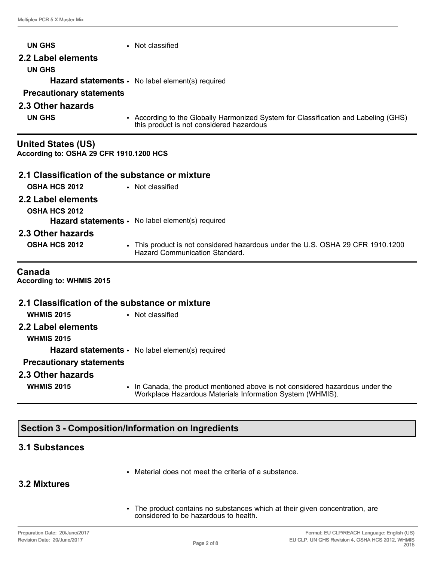| <b>UN GHS</b>                                                        | • Not classified                                                                                                                |  |  |  |
|----------------------------------------------------------------------|---------------------------------------------------------------------------------------------------------------------------------|--|--|--|
| 2.2 Label elements                                                   |                                                                                                                                 |  |  |  |
| <b>UN GHS</b>                                                        |                                                                                                                                 |  |  |  |
|                                                                      | Hazard statements · No label element(s) required                                                                                |  |  |  |
| <b>Precautionary statements</b>                                      |                                                                                                                                 |  |  |  |
| 2.3 Other hazards                                                    |                                                                                                                                 |  |  |  |
| <b>UN GHS</b>                                                        | • According to the Globally Harmonized System for Classification and Labeling (GHS)<br>this product is not considered hazardous |  |  |  |
| <b>United States (US)</b><br>According to: OSHA 29 CFR 1910.1200 HCS |                                                                                                                                 |  |  |  |
| 2.1 Classification of the substance or mixture                       |                                                                                                                                 |  |  |  |
| <b>OSHA HCS 2012</b>                                                 | • Not classified                                                                                                                |  |  |  |
| 2.2 Label elements                                                   |                                                                                                                                 |  |  |  |
| <b>OSHA HCS 2012</b>                                                 |                                                                                                                                 |  |  |  |
|                                                                      | Hazard statements · No label element(s) required                                                                                |  |  |  |
| 2.3 Other hazards                                                    |                                                                                                                                 |  |  |  |
| <b>OSHA HCS 2012</b>                                                 | • This product is not considered hazardous under the U.S. OSHA 29 CFR 1910.1200<br><b>Hazard Communication Standard.</b>        |  |  |  |
| Canada<br>According to: WHMIS 2015                                   |                                                                                                                                 |  |  |  |
| 2.1 Classification of the substance or mixture                       |                                                                                                                                 |  |  |  |
| <b>WHMIS 2015</b>                                                    | • Not classified                                                                                                                |  |  |  |
| 2.2 Label elements<br><b>WHMIS 2015</b>                              |                                                                                                                                 |  |  |  |

Hazard statements · No label element(s) required

# **Precautionary statements**

#### **2.3 Other hazards**

- 
- **WHMIS 2015** In Canada, the product mentioned above is not considered hazardous under the Workplace Hazardous Materials Information System (WHMIS).

# **Section 3 - Composition/Information on Ingredients**

# **3.1 Substances**

• Material does not meet the criteria of a substance.

# **3.2 Mixtures**

• The product contains no substances which at their given concentration, are considered to be hazardous to health.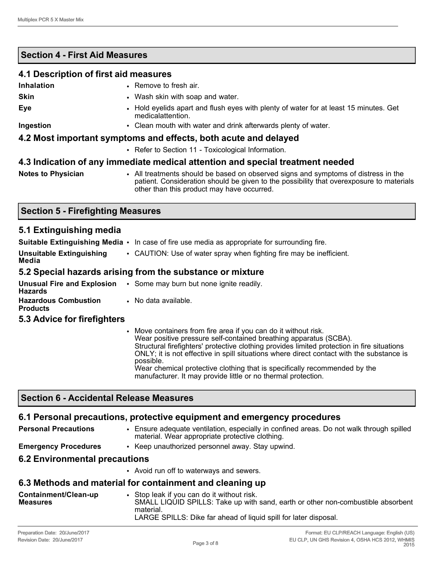# **Section 4 - First Aid Measures**

|                                                                 | 4.1 Description of first aid measures                                                                      |  |  |
|-----------------------------------------------------------------|------------------------------------------------------------------------------------------------------------|--|--|
| Inhalation                                                      | • Remove to fresh air.                                                                                     |  |  |
| <b>Skin</b>                                                     | • Wash skin with soap and water.                                                                           |  |  |
| Eye                                                             | • Hold eyelids apart and flush eyes with plenty of water for at least 15 minutes. Get<br>medicalattention. |  |  |
| Ingestion                                                       | • Clean mouth with water and drink afterwards plenty of water.                                             |  |  |
| 4.2 Most important symptoms and effects, both acute and delayed |                                                                                                            |  |  |
|                                                                 | • Refer to Section 11 - Toxicological Information.                                                         |  |  |
|                                                                 | A 3 Indication of any immediate medical attention and special treatment needed                             |  |  |

# **4.3 Indication of any immediate medical attention and special treatment needed**

**Notes to Physician** • All treatments should be based on observed signs and symptoms of distress in the patient. Consideration should be given to the possibility that overexposure to materials other than this product may have occurred.

### **Section 5 - Firefighting Measures**

### **5.1 Extinguishing media**

|                                   | <b>Suitable Extinguishing Media <math>\cdot</math></b> In case of fire use media as appropriate for surrounding fire. |
|-----------------------------------|-----------------------------------------------------------------------------------------------------------------------|
| Unsuitable Extinguishing<br>Media | • CAUTION: Use of water spray when fighting fire may be inefficient.                                                  |
|                                   | 5.2 Special hazards arising from the substance or mixture                                                             |
| <b>Unusual Fire and Explosion</b> | • Some may burn but none ignite readily.                                                                              |

| <b>Hazards</b>                                 | <b>Unusual Fire and Explosion <math>\cdot</math></b> Some may burn but none ignite re |
|------------------------------------------------|---------------------------------------------------------------------------------------|
| <b>Hazardous Combustion</b><br><b>Products</b> | • No data available.                                                                  |

### **5.3 Advice for firefighters**

• Move containers from fire area if you can do it without risk. Wear positive pressure self-contained breathing apparatus (SCBA). Structural firefighters' protective clothing provides limited protection in fire situations ONLY; it is not effective in spill situations where direct contact with the substance is possible. Wear chemical protective clothing that is specifically recommended by the manufacturer. It may provide little or no thermal protection.

# **Section 6 - Accidental Release Measures**

# **6.1 Personal precautions, protective equipment and emergency procedures**

| <b>Personal Precautions</b> | • Ensure adequate ventilation, especially in confined areas. Do not walk through spilled<br>material. Wear appropriate protective clothing. |
|-----------------------------|---------------------------------------------------------------------------------------------------------------------------------------------|
|                             |                                                                                                                                             |

**Emergency Procedures** • Keep unauthorized personnel away. Stay upwind.

# **6.2 Environmental precautions**

• Avoid run off to waterways and sewers.

# **6.3 Methods and material for containment and cleaning up**

| Containment/Clean-up<br><b>Measures</b> | Stop leak if you can do it without risk.<br>SMALL LIQUID SPILLS: Take up with sand, earth or other non-combustible absorbent<br>material. |
|-----------------------------------------|-------------------------------------------------------------------------------------------------------------------------------------------|
|                                         | LARGE SPILLS: Dike far ahead of liquid spill for later disposal.                                                                          |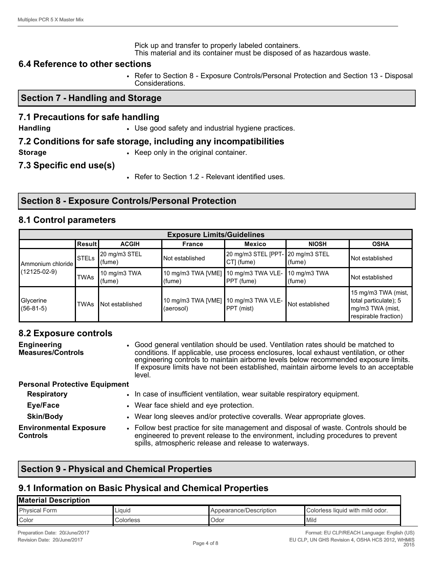Pick up and transfer to properly labeled containers. This material and its container must be disposed of as hazardous waste.

#### **6.4 Reference to other sections**

• Refer to Section 8 - Exposure Controls/Personal Protection and Section 13 - Disposal Considerations.

#### **Section 7 - Handling and Storage**

### **7.1 Precautions for safe handling**

**Handling • Use good safety and industrial hygiene practices.** 

#### **7.2 Conditions for safe storage, including any incompatibilities**

**Storage** • **Keep only in the original container.** 

**7.3 Specific end use(s)**

• Refer to Section 1.2 - Relevant identified uses.

# **Section 8 - Exposure Controls/Personal Protection**

### **8.1 Control parameters**

| <b>Exposure Limits/Guidelines</b> |              |                         |                                                                 |                                                 |                 |                                                                                          |
|-----------------------------------|--------------|-------------------------|-----------------------------------------------------------------|-------------------------------------------------|-----------------|------------------------------------------------------------------------------------------|
|                                   | Result       | <b>ACGIH</b>            | <b>France</b>                                                   | <b>Mexico</b>                                   | <b>NIOSH</b>    | <b>OSHA</b>                                                                              |
| Ammonium chloride I               | <b>STELS</b> | 20 mg/m3 STEL<br>(fume) | Not established                                                 | 20 mg/m3 STEL [PPT- 20 mg/m3 STEL<br>CT] (fume) | (fume)          | Not established                                                                          |
| $(12125-02-9)$                    | <b>TWAs</b>  | 10 mg/m3 TWA<br>(fume)  | 10 mg/m3 TWA [VME]   10 mg/m3 TWA VLE-   10 mg/m3 TWA<br>(fume) | PPT (fume)                                      | (fume)          | Not established                                                                          |
| Glycerine<br>$(56-81-5)$          | <b>TWAs</b>  | Not established         | 10 mg/m3 TWA [VME]<br>(aerosol)                                 | 10 mg/m3 TWA VLE-<br>$\textsf{PPT}$ (mist)      | Not established | 15 mg/m3 TWA (mist,<br>total particulate); 5<br>mg/m3 TWA (mist,<br>respirable fraction) |

### **8.2 Exposure controls**

| <b>Engineering</b><br><b>Measures/Controls</b>   | • Good general ventilation should be used. Ventilation rates should be matched to<br>conditions. If applicable, use process enclosures, local exhaust ventilation, or other<br>engineering controls to maintain airborne levels below recommended exposure limits.<br>If exposure limits have not been established, maintain airborne levels to an acceptable<br>level. |
|--------------------------------------------------|-------------------------------------------------------------------------------------------------------------------------------------------------------------------------------------------------------------------------------------------------------------------------------------------------------------------------------------------------------------------------|
| <b>Personal Protective Equipment</b>             |                                                                                                                                                                                                                                                                                                                                                                         |
| <b>Respiratory</b>                               | • In case of insufficient ventilation, wear suitable respiratory equipment.                                                                                                                                                                                                                                                                                             |
| Eye/Face                                         | • Wear face shield and eye protection.                                                                                                                                                                                                                                                                                                                                  |
| <b>Skin/Body</b>                                 | • Wear long sleeves and/or protective coveralls. Wear appropriate gloves.                                                                                                                                                                                                                                                                                               |
| <b>Environmental Exposure</b><br><b>Controls</b> | • Follow best practice for site management and disposal of waste. Controls should be<br>engineered to prevent release to the environment, including procedures to prevent<br>spills, atmospheric release and release to waterways.                                                                                                                                      |

# **Section 9 - Physical and Chemical Properties**

### **9.1 Information on Basic Physical and Chemical Properties**

#### **Material Description**

| Physical<br>⊦orm | Liquid   | /Description<br>ppearance/ | .<br>odor<br>with<br>mild<br><b>Colorless</b><br><b>Tiquid</b> |
|------------------|----------|----------------------------|----------------------------------------------------------------|
| Color            | olorless | <b>Jdor</b>                | Mild                                                           |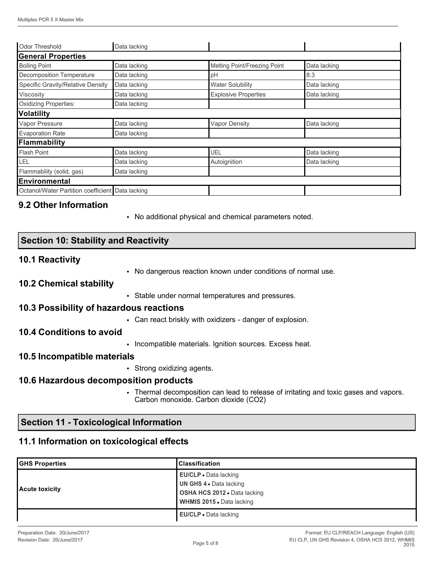| <b>Odor Threshold</b>                            | Data lacking |                              |              |
|--------------------------------------------------|--------------|------------------------------|--------------|
| <b>General Properties</b>                        |              |                              |              |
| <b>Boiling Point</b>                             | Data lacking | Melting Point/Freezing Point | Data lacking |
| <b>Decomposition Temperature</b>                 | Data lacking | pH                           | 8.3          |
| Specific Gravity/Relative Density                | Data lacking | <b>Water Solubility</b>      | Data lacking |
| Viscosity                                        | Data lacking | <b>Explosive Properties</b>  | Data lacking |
| <b>Oxidizing Properties:</b>                     | Data lacking |                              |              |
| Volatility                                       |              |                              |              |
| Vapor Pressure                                   | Data lacking | <b>Vapor Density</b>         | Data lacking |
| <b>Evaporation Rate</b>                          | Data lacking |                              |              |
| Flammability                                     |              |                              |              |
| <b>Flash Point</b>                               | Data lacking | UEL                          | Data lacking |
| LEL                                              | Data lacking | Autoignition                 | Data lacking |
| Flammability (solid, gas)                        | Data lacking |                              |              |
| Environmental                                    |              |                              |              |
| Octanol/Water Partition coefficient Data lacking |              |                              |              |

# **9.2 Other Information**

• No additional physical and chemical parameters noted.

# **Section 10: Stability and Reactivity**

### **10.1 Reactivity**

• No dangerous reaction known under conditions of normal use.

#### **10.2 Chemical stability**

• Stable under normal temperatures and pressures.

#### **10.3 Possibility of hazardous reactions**

• Can react briskly with oxidizers - danger of explosion.

### **10.4 Conditions to avoid**

• Incompatible materials. Ignition sources. Excess heat.

#### **10.5 Incompatible materials**

• Strong oxidizing agents.

#### **10.6 Hazardous decomposition products**

• Thermal decomposition can lead to release of irritating and toxic gases and vapors. Carbon monoxide. Carbon dioxide (CO2)

# **Section 11 - Toxicological Information**

### **11.1 Information on toxicological effects**

| <b>GHS Properties</b> | <b>IClassification</b>       |
|-----------------------|------------------------------|
|                       | <b>EU/CLP</b> • Data lacking |
|                       | UN GHS 4 . Data lacking      |
| Acute toxicity        | OSHA HCS 2012 . Data lacking |
|                       | WHMIS 2015 • Data lacking    |
|                       | EU/CLP · Data lacking        |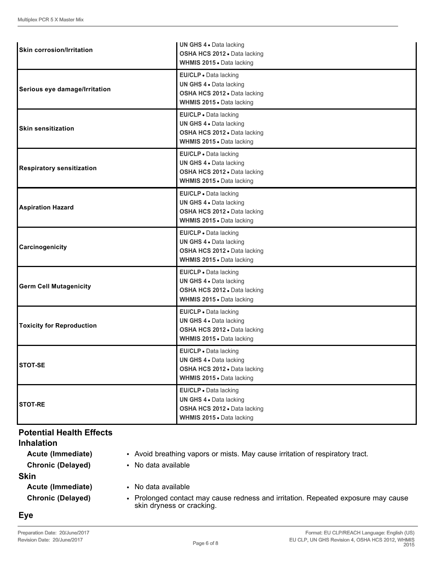| <b>Skin corrosion/Irritation</b><br>OSHA HCS 2012 . Data lacking<br>WHMIS 2015 . Data lacking<br>EU/CLP · Data lacking<br>UN GHS 4 . Data lacking<br>Serious eye damage/Irritation<br>OSHA HCS 2012 · Data lacking<br>WHMIS 2015 . Data lacking<br>EU/CLP · Data lacking<br>UN GHS 4 . Data lacking<br><b>Skin sensitization</b><br>OSHA HCS 2012 · Data lacking<br>WHMIS 2015 . Data lacking<br>EU/CLP · Data lacking<br>UN GHS 4 . Data lacking<br>OSHA HCS 2012 · Data lacking<br>WHMIS 2015 . Data lacking<br>EU/CLP · Data lacking<br>UN GHS 4 . Data lacking<br><b>Aspiration Hazard</b><br>OSHA HCS 2012 . Data lacking<br>WHMIS 2015 . Data lacking<br>EU/CLP · Data lacking<br>UN GHS 4 . Data lacking<br>Carcinogenicity<br>OSHA HCS 2012 · Data lacking<br>WHMIS 2015 . Data lacking<br>EU/CLP · Data lacking<br>UN GHS 4 . Data lacking<br><b>Germ Cell Mutagenicity</b><br>OSHA HCS 2012 · Data lacking<br>WHMIS 2015 . Data lacking<br>EU/CLP · Data lacking<br>UN GHS 4 . Data lacking<br><b>Toxicity for Reproduction</b><br>OSHA HCS 2012 . Data lacking<br>WHMIS 2015 . Data lacking<br>EU/CLP · Data lacking<br>UN GHS 4 . Data lacking<br><b>STOT-SE</b><br>OSHA HCS 2012 · Data lacking<br>WHMIS 2015 . Data lacking<br>EU/CLP - Data lacking<br>UN GHS 4 . Data lacking<br><b>STOT-RE</b><br>OSHA HCS 2012 · Data lacking<br>WHMIS 2015 . Data lacking |                                  | UN GHS 4 . Data lacking |
|------------------------------------------------------------------------------------------------------------------------------------------------------------------------------------------------------------------------------------------------------------------------------------------------------------------------------------------------------------------------------------------------------------------------------------------------------------------------------------------------------------------------------------------------------------------------------------------------------------------------------------------------------------------------------------------------------------------------------------------------------------------------------------------------------------------------------------------------------------------------------------------------------------------------------------------------------------------------------------------------------------------------------------------------------------------------------------------------------------------------------------------------------------------------------------------------------------------------------------------------------------------------------------------------------------------------------------------------------------------------------|----------------------------------|-------------------------|
|                                                                                                                                                                                                                                                                                                                                                                                                                                                                                                                                                                                                                                                                                                                                                                                                                                                                                                                                                                                                                                                                                                                                                                                                                                                                                                                                                                              |                                  |                         |
|                                                                                                                                                                                                                                                                                                                                                                                                                                                                                                                                                                                                                                                                                                                                                                                                                                                                                                                                                                                                                                                                                                                                                                                                                                                                                                                                                                              |                                  |                         |
|                                                                                                                                                                                                                                                                                                                                                                                                                                                                                                                                                                                                                                                                                                                                                                                                                                                                                                                                                                                                                                                                                                                                                                                                                                                                                                                                                                              |                                  |                         |
|                                                                                                                                                                                                                                                                                                                                                                                                                                                                                                                                                                                                                                                                                                                                                                                                                                                                                                                                                                                                                                                                                                                                                                                                                                                                                                                                                                              |                                  |                         |
|                                                                                                                                                                                                                                                                                                                                                                                                                                                                                                                                                                                                                                                                                                                                                                                                                                                                                                                                                                                                                                                                                                                                                                                                                                                                                                                                                                              |                                  |                         |
|                                                                                                                                                                                                                                                                                                                                                                                                                                                                                                                                                                                                                                                                                                                                                                                                                                                                                                                                                                                                                                                                                                                                                                                                                                                                                                                                                                              |                                  |                         |
|                                                                                                                                                                                                                                                                                                                                                                                                                                                                                                                                                                                                                                                                                                                                                                                                                                                                                                                                                                                                                                                                                                                                                                                                                                                                                                                                                                              |                                  |                         |
|                                                                                                                                                                                                                                                                                                                                                                                                                                                                                                                                                                                                                                                                                                                                                                                                                                                                                                                                                                                                                                                                                                                                                                                                                                                                                                                                                                              |                                  |                         |
|                                                                                                                                                                                                                                                                                                                                                                                                                                                                                                                                                                                                                                                                                                                                                                                                                                                                                                                                                                                                                                                                                                                                                                                                                                                                                                                                                                              |                                  |                         |
|                                                                                                                                                                                                                                                                                                                                                                                                                                                                                                                                                                                                                                                                                                                                                                                                                                                                                                                                                                                                                                                                                                                                                                                                                                                                                                                                                                              |                                  |                         |
|                                                                                                                                                                                                                                                                                                                                                                                                                                                                                                                                                                                                                                                                                                                                                                                                                                                                                                                                                                                                                                                                                                                                                                                                                                                                                                                                                                              |                                  |                         |
|                                                                                                                                                                                                                                                                                                                                                                                                                                                                                                                                                                                                                                                                                                                                                                                                                                                                                                                                                                                                                                                                                                                                                                                                                                                                                                                                                                              | <b>Respiratory sensitization</b> |                         |
|                                                                                                                                                                                                                                                                                                                                                                                                                                                                                                                                                                                                                                                                                                                                                                                                                                                                                                                                                                                                                                                                                                                                                                                                                                                                                                                                                                              |                                  |                         |
|                                                                                                                                                                                                                                                                                                                                                                                                                                                                                                                                                                                                                                                                                                                                                                                                                                                                                                                                                                                                                                                                                                                                                                                                                                                                                                                                                                              |                                  |                         |
|                                                                                                                                                                                                                                                                                                                                                                                                                                                                                                                                                                                                                                                                                                                                                                                                                                                                                                                                                                                                                                                                                                                                                                                                                                                                                                                                                                              |                                  |                         |
|                                                                                                                                                                                                                                                                                                                                                                                                                                                                                                                                                                                                                                                                                                                                                                                                                                                                                                                                                                                                                                                                                                                                                                                                                                                                                                                                                                              |                                  |                         |
|                                                                                                                                                                                                                                                                                                                                                                                                                                                                                                                                                                                                                                                                                                                                                                                                                                                                                                                                                                                                                                                                                                                                                                                                                                                                                                                                                                              |                                  |                         |
|                                                                                                                                                                                                                                                                                                                                                                                                                                                                                                                                                                                                                                                                                                                                                                                                                                                                                                                                                                                                                                                                                                                                                                                                                                                                                                                                                                              |                                  |                         |
|                                                                                                                                                                                                                                                                                                                                                                                                                                                                                                                                                                                                                                                                                                                                                                                                                                                                                                                                                                                                                                                                                                                                                                                                                                                                                                                                                                              |                                  |                         |
|                                                                                                                                                                                                                                                                                                                                                                                                                                                                                                                                                                                                                                                                                                                                                                                                                                                                                                                                                                                                                                                                                                                                                                                                                                                                                                                                                                              |                                  |                         |
|                                                                                                                                                                                                                                                                                                                                                                                                                                                                                                                                                                                                                                                                                                                                                                                                                                                                                                                                                                                                                                                                                                                                                                                                                                                                                                                                                                              |                                  |                         |
|                                                                                                                                                                                                                                                                                                                                                                                                                                                                                                                                                                                                                                                                                                                                                                                                                                                                                                                                                                                                                                                                                                                                                                                                                                                                                                                                                                              |                                  |                         |
|                                                                                                                                                                                                                                                                                                                                                                                                                                                                                                                                                                                                                                                                                                                                                                                                                                                                                                                                                                                                                                                                                                                                                                                                                                                                                                                                                                              |                                  |                         |
|                                                                                                                                                                                                                                                                                                                                                                                                                                                                                                                                                                                                                                                                                                                                                                                                                                                                                                                                                                                                                                                                                                                                                                                                                                                                                                                                                                              |                                  |                         |
|                                                                                                                                                                                                                                                                                                                                                                                                                                                                                                                                                                                                                                                                                                                                                                                                                                                                                                                                                                                                                                                                                                                                                                                                                                                                                                                                                                              |                                  |                         |
|                                                                                                                                                                                                                                                                                                                                                                                                                                                                                                                                                                                                                                                                                                                                                                                                                                                                                                                                                                                                                                                                                                                                                                                                                                                                                                                                                                              |                                  |                         |
|                                                                                                                                                                                                                                                                                                                                                                                                                                                                                                                                                                                                                                                                                                                                                                                                                                                                                                                                                                                                                                                                                                                                                                                                                                                                                                                                                                              |                                  |                         |
|                                                                                                                                                                                                                                                                                                                                                                                                                                                                                                                                                                                                                                                                                                                                                                                                                                                                                                                                                                                                                                                                                                                                                                                                                                                                                                                                                                              |                                  |                         |
|                                                                                                                                                                                                                                                                                                                                                                                                                                                                                                                                                                                                                                                                                                                                                                                                                                                                                                                                                                                                                                                                                                                                                                                                                                                                                                                                                                              |                                  |                         |
|                                                                                                                                                                                                                                                                                                                                                                                                                                                                                                                                                                                                                                                                                                                                                                                                                                                                                                                                                                                                                                                                                                                                                                                                                                                                                                                                                                              |                                  |                         |
|                                                                                                                                                                                                                                                                                                                                                                                                                                                                                                                                                                                                                                                                                                                                                                                                                                                                                                                                                                                                                                                                                                                                                                                                                                                                                                                                                                              |                                  |                         |
|                                                                                                                                                                                                                                                                                                                                                                                                                                                                                                                                                                                                                                                                                                                                                                                                                                                                                                                                                                                                                                                                                                                                                                                                                                                                                                                                                                              |                                  |                         |
|                                                                                                                                                                                                                                                                                                                                                                                                                                                                                                                                                                                                                                                                                                                                                                                                                                                                                                                                                                                                                                                                                                                                                                                                                                                                                                                                                                              |                                  |                         |
|                                                                                                                                                                                                                                                                                                                                                                                                                                                                                                                                                                                                                                                                                                                                                                                                                                                                                                                                                                                                                                                                                                                                                                                                                                                                                                                                                                              |                                  |                         |
|                                                                                                                                                                                                                                                                                                                                                                                                                                                                                                                                                                                                                                                                                                                                                                                                                                                                                                                                                                                                                                                                                                                                                                                                                                                                                                                                                                              |                                  |                         |
|                                                                                                                                                                                                                                                                                                                                                                                                                                                                                                                                                                                                                                                                                                                                                                                                                                                                                                                                                                                                                                                                                                                                                                                                                                                                                                                                                                              |                                  |                         |

### **Potential Health Effects**

| <b>Inhalation</b>        |                                                                                                                |
|--------------------------|----------------------------------------------------------------------------------------------------------------|
| Acute (Immediate)        | • Avoid breathing vapors or mists. May cause irritation of respiratory tract.                                  |
| <b>Chronic (Delayed)</b> | • No data available                                                                                            |
| <b>Skin</b>              |                                                                                                                |
| Acute (Immediate)        | • No data available                                                                                            |
| <b>Chronic (Delayed)</b> | • Prolonged contact may cause redness and irritation. Repeated exposure may cause<br>skin dryness or cracking. |

**Eye**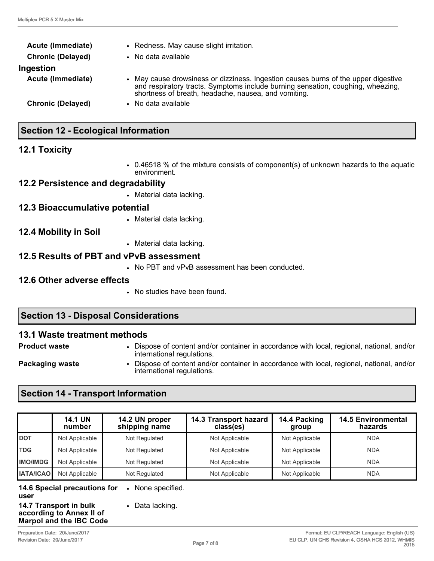| Acute (Immediate)        | • Redness. May cause slight irritation.                                                                                                                                                                                       |  |  |
|--------------------------|-------------------------------------------------------------------------------------------------------------------------------------------------------------------------------------------------------------------------------|--|--|
| <b>Chronic (Delayed)</b> | • No data available                                                                                                                                                                                                           |  |  |
| Ingestion                |                                                                                                                                                                                                                               |  |  |
| Acute (Immediate)        | • May cause drowsiness or dizziness. Ingestion causes burns of the upper digestive<br>and respiratory tracts. Symptoms include burning sensation, coughing, wheezing,<br>shortness of breath, headache, nausea, and vomiting. |  |  |
| <b>Chronic (Delayed)</b> | • No data available                                                                                                                                                                                                           |  |  |
|                          |                                                                                                                                                                                                                               |  |  |

# **Section 12 - Ecological Information**

### **12.1 Toxicity**

• 0.46518 % of the mixture consists of component(s) of unknown hazards to the aquatic environment.

### **12.2 Persistence and degradability**

• Material data lacking.

### **12.3 Bioaccumulative potential**

• Material data lacking.

#### **12.4 Mobility in Soil**

• Material data lacking.

### **12.5 Results of PBT and vPvB assessment**

• No PBT and vPvB assessment has been conducted.

#### **12.6 Other adverse effects**

• No studies have been found.

### **Section 13 - Disposal Considerations**

#### **13.1 Waste treatment methods**

- 
- **Product waste** Dispose of content and/or container in accordance with local, regional, national, and/or international regulations.
- 
- **Packaging waste Dispose of content and/or container in accordance with local, regional, national, and/or** international regulations.

# **Section 14 - Transport Information**

|                  | <b>14.1 UN</b><br>number | 14.2 UN proper<br>shipping name | 14.3 Transport hazard<br>class(es) | 14.4 Packing<br>group | <b>14.5 Environmental</b><br>hazards |
|------------------|--------------------------|---------------------------------|------------------------------------|-----------------------|--------------------------------------|
| <b>IDOT</b>      | Not Applicable           | Not Regulated                   | Not Applicable                     | Not Applicable        | <b>NDA</b>                           |
| <b>TDG</b>       | Not Applicable           | Not Regulated                   | Not Applicable                     | Not Applicable        | <b>NDA</b>                           |
| <b>IMO/IMDG</b>  | Not Applicable           | Not Regulated                   | Not Applicable                     | Not Applicable        | <b>NDA</b>                           |
| <b>IATA/ICAO</b> | Not Applicable           | Not Regulated                   | Not Applicable                     | Not Applicable        | <b>NDA</b>                           |

**14.6 Special precautions for user** • None specified. • Data lacking.

**14.7 Transport in bulk according to Annex II of Marpol and the IBC Code**